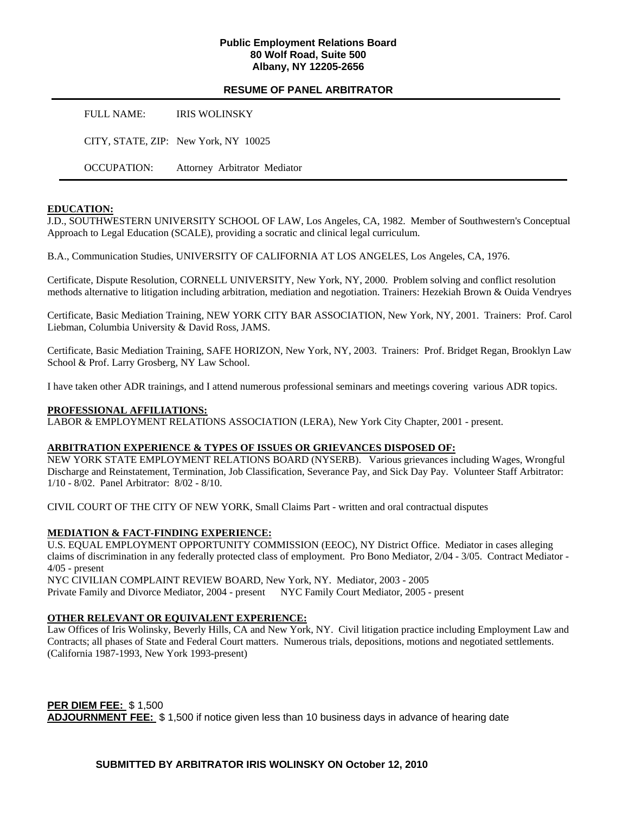### **Public Employment Relations Board 80 Wolf Road, Suite 500 Albany, NY 12205-2656**

### **RESUME OF PANEL ARBITRATOR**

FULL NAME: IRIS WOLINSKY

CITY, STATE, ZIP: New York, NY 10025

OCCUPATION: Attorney Arbitrator Mediator

#### **EDUCATION:**

J.D., SOUTHWESTERN UNIVERSITY SCHOOL OF LAW, Los Angeles, CA, 1982. Member of Southwestern's Conceptual Approach to Legal Education (SCALE), providing a socratic and clinical legal curriculum.

B.A., Communication Studies, UNIVERSITY OF CALIFORNIA AT LOS ANGELES, Los Angeles, CA, 1976.

Certificate, Dispute Resolution, CORNELL UNIVERSITY, New York, NY, 2000. Problem solving and conflict resolution methods alternative to litigation including arbitration, mediation and negotiation. Trainers: Hezekiah Brown & Ouida Vendryes

Certificate, Basic Mediation Training, NEW YORK CITY BAR ASSOCIATION, New York, NY, 2001. Trainers: Prof. Carol Liebman, Columbia University & David Ross, JAMS.

Certificate, Basic Mediation Training, SAFE HORIZON, New York, NY, 2003. Trainers: Prof. Bridget Regan, Brooklyn Law School & Prof. Larry Grosberg, NY Law School.

I have taken other ADR trainings, and I attend numerous professional seminars and meetings covering various ADR topics.

#### **PROFESSIONAL AFFILIATIONS:**

LABOR & EMPLOYMENT RELATIONS ASSOCIATION (LERA), New York City Chapter, 2001 - present.

#### **ARBITRATION EXPERIENCE & TYPES OF ISSUES OR GRIEVANCES DISPOSED OF:**

NEW YORK STATE EMPLOYMENT RELATIONS BOARD (NYSERB). Various grievances including Wages, Wrongful Discharge and Reinstatement, Termination, Job Classification, Severance Pay, and Sick Day Pay. Volunteer Staff Arbitrator: 1/10 - 8/02. Panel Arbitrator: 8/02 - 8/10.

CIVIL COURT OF THE CITY OF NEW YORK, Small Claims Part - written and oral contractual disputes

### **MEDIATION & FACT-FINDING EXPERIENCE:**

U.S. EQUAL EMPLOYMENT OPPORTUNITY COMMISSION (EEOC), NY District Office. Mediator in cases alleging claims of discrimination in any federally protected class of employment. Pro Bono Mediator, 2/04 - 3/05. Contract Mediator - 4/05 - present

NYC CIVILIAN COMPLAINT REVIEW BOARD, New York, NY. Mediator, 2003 - 2005 Private Family and Divorce Mediator, 2004 - present NYC Family Court Mediator, 2005 - present

### **OTHER RELEVANT OR EQUIVALENT EXPERIENCE:**

Law Offices of Iris Wolinsky, Beverly Hills, CA and New York, NY. Civil litigation practice including Employment Law and Contracts; all phases of State and Federal Court matters. Numerous trials, depositions, motions and negotiated settlements. (California 1987-1993, New York 1993-present)

**PER DIEM FEE:** \$ 1,500 **ADJOURNMENT FEE:** \$ 1,500 if notice given less than 10 business days in advance of hearing date

**SUBMITTED BY ARBITRATOR IRIS WOLINSKY ON October 12, 2010**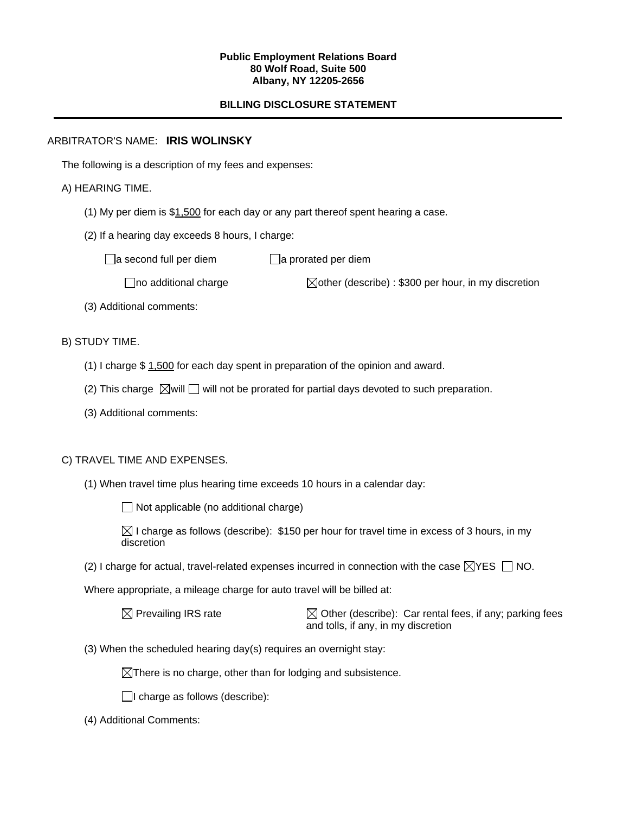#### **Public Employment Relations Board 80 Wolf Road, Suite 500 Albany, NY 12205-2656**

## **BILLING DISCLOSURE STATEMENT**

## ARBITRATOR'S NAME: **IRIS WOLINSKY**

The following is a description of my fees and expenses:

## A) HEARING TIME.

- (1) My per diem is  $$1,500$  for each day or any part thereof spent hearing a case.
- (2) If a hearing day exceeds 8 hours, I charge:

 $\Box$ a second full per diem  $\Box$ a prorated per diem

 $\Box$ no additional charge  $\Box$ other (describe) : \$300 per hour, in my discretion

- (3) Additional comments:
- B) STUDY TIME.
	- (1) I charge \$ 1,500 for each day spent in preparation of the opinion and award.
	- (2) This charge  $\boxtimes$  will  $\Box$  will not be prorated for partial days devoted to such preparation.
	- (3) Additional comments:

### C) TRAVEL TIME AND EXPENSES.

(1) When travel time plus hearing time exceeds 10 hours in a calendar day:

 $\Box$  Not applicable (no additional charge)

 $\boxtimes$  I charge as follows (describe): \$150 per hour for travel time in excess of 3 hours, in my discretion

(2) I charge for actual, travel-related expenses incurred in connection with the case  $\boxtimes$ YES  $\Box$  NO.

Where appropriate, a mileage charge for auto travel will be billed at:

 $\boxtimes$  Prevailing IRS rate  $\boxtimes$  Other (describe): Car rental fees, if any; parking fees and tolls, if any, in my discretion

(3) When the scheduled hearing day(s) requires an overnight stay:

 $\boxtimes$ There is no charge, other than for lodging and subsistence.

 $\Box$ I charge as follows (describe):

(4) Additional Comments: